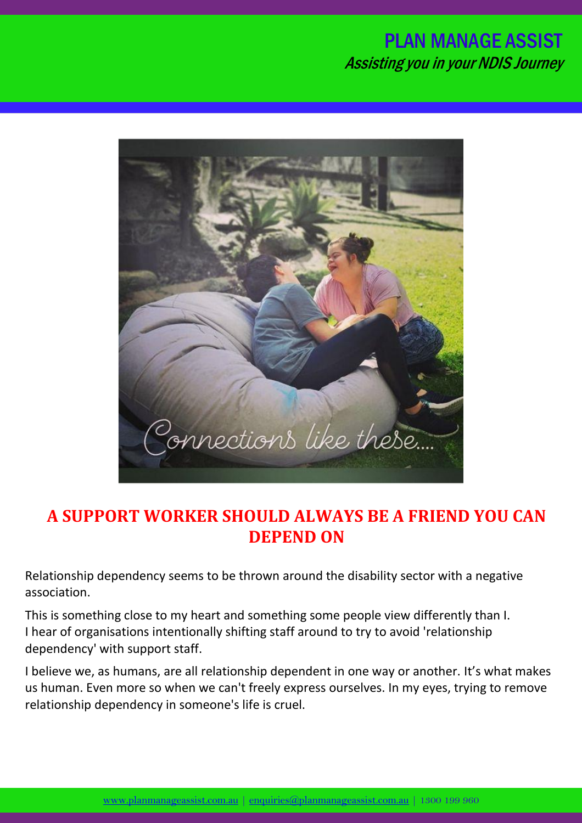## PLAN MANAGE ASSIST Assisting you in your NDIS Journey



## **A SUPPORT WORKER SHOULD ALWAYS BE A FRIEND YOU CAN DEPEND ON**

Relationship dependency seems to be thrown around the disability sector with a negative association.

This is something close to my heart and something some people view differently than I. I hear of organisations intentionally shifting staff around to try to avoid 'relationship dependency' with support staff.

I believe we, as humans, are all relationship dependent in one way or another. It's what makes us human. Even more so when we can't freely express ourselves. In my eyes, trying to remove relationship dependency in someone's life is cruel.